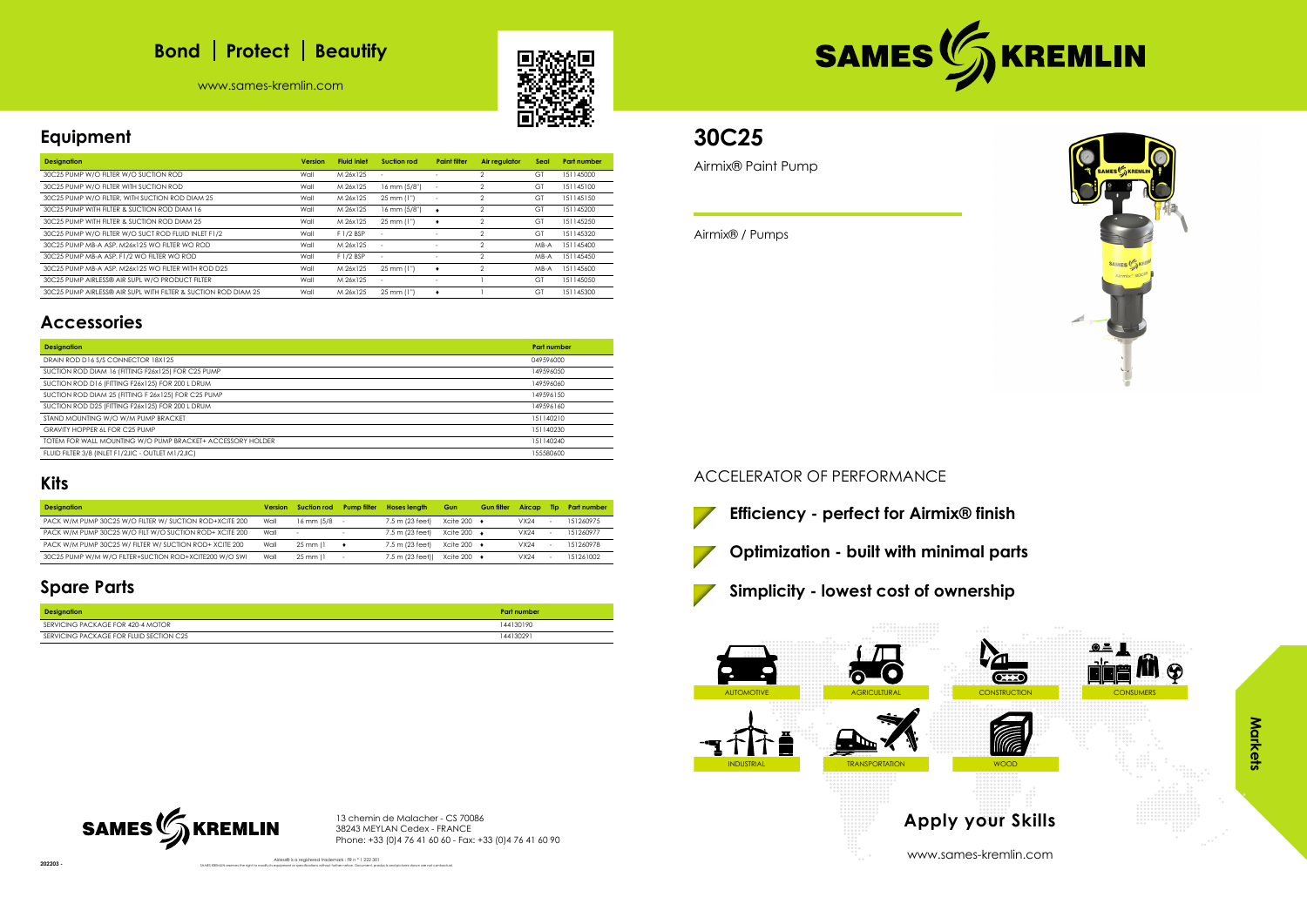# **Bond** | Protect | Beautify

www.sames-kremlin.com





# **Equipment**

| <b>Designation</b>                                             | <b>Version</b> | <b>Fluid inlet</b> | Suction rod              | <b>Paint filter</b>      | Air regulator | Seal   | <b>Part number</b> |
|----------------------------------------------------------------|----------------|--------------------|--------------------------|--------------------------|---------------|--------|--------------------|
| 30C25 PUMP W/O FILTER W/O SUCTION ROD                          | Wall           | M 26x125           |                          |                          |               | GT     | 151145000          |
| 30C25 PUMP W/O FILTER WITH SUCTION ROD                         | Wall           | M 26x125           | 16 mm (5/8")             | <b>1</b>                 | 2             | GT     | 151145100          |
| 30C25 PUMP W/O FILTER, WITH SUCTION ROD DIAM 25                | Wall           | M 26x125           | $25 \, \text{mm}$ (1")   | $\overline{\phantom{a}}$ | 2             | GT     | 151145150          |
| 30C25 PUMP WITH FILTER & SUCTION ROD DIAM 16                   | Wall           | M 26x125           | 16 mm (5/8")             |                          | 2             | GT     | 151145200          |
| 30C25 PUMP WITH FILTER & SUCTION ROD DIAM 25                   | Wall           | M 26x125           | 25 mm (1")               |                          |               | GT     | 151145250          |
| 30C25 PUMP W/O FILTER W/O SUCT ROD FLUID INLET F1/2            | Wall           | F 1/2 BSP          | $\overline{\phantom{a}}$ | ٠                        |               | GT     | 151145320          |
| 30C25 PUMP MB-A ASP, M26x125 WO FILTER WO ROD                  | Wall           | M 26x125           |                          |                          | っ             | $MB-A$ | 151145400          |
| 30C25 PUMP MB-A ASP. F1/2 WO FILTER WO ROD                     | Wall           | F 1/2 BSP          | $\overline{\phantom{a}}$ |                          | 2             | $MB-A$ | 151145450          |
| 30C25 PUMP MB-A ASP. M26x125 WO FILTER WITH ROD D25            | Wall           | M 26x125           | 25 mm (1")               |                          | 2             | $MB-A$ | 151145600          |
| 30C25 PUMP AIRLESS® AIR SUPL W/O PRODUCT FILTER                | Wall           | M 26x125           | $\sim$                   | $\overline{\phantom{a}}$ |               | GT     | 151145050          |
| 30C25 PUMP AIRLESS® AIR SUPL WITH FILTER & SUCTION ROD DIAM 25 | Wall           | M 26x125           | $25 \, \text{mm}$ (1")   | ٠                        |               | GT     | 151145300          |

## **Accessories**

Airless® is a registered trademark : FR n ° 1 222 301 SAMES KREMLIN reserves the right to modify its equipment or specifications without further notice. Document, products and pictures shown are not contractual.



| <b>Designation</b>                                         | <b>Part number</b> |
|------------------------------------------------------------|--------------------|
| DRAIN ROD D16 S/S CONNECTOR 18X125                         | 049596000          |
| SUCTION ROD DIAM 16 (FITTING F26x125) FOR C25 PUMP         | 149596050          |
| SUCTION ROD D16 (FITTING F26x125) FOR 200 L DRUM           | 149596060          |
| SUCTION ROD DIAM 25 (FITTING F 26x125) FOR C25 PUMP        | 149596150          |
| SUCTION ROD D25 (FITTING F26x125) FOR 200 L DRUM           | 149596160          |
| STAND MOUNTING W/O W/M PUMP BRACKET                        | 151140210          |
| GRAVITY HOPPER 6L FOR C25 PUMP                             | 151140230          |
| TOTEM FOR WALL MOUNTING W/O PUMP BRACKET+ ACCESSORY HOLDER | 151140240          |
| FLUID FILTER 3/8 (INLET F1/2JIC - OUTLET M1/2JIC)          | 155580600          |

### **Kits**

| <b>Designation</b>                                      | <b>Version</b> | Suction rod              | <b>Pump filter</b> | <b>Hoses length</b> | <b>Gun</b>              | <b>Gun filter</b> | Aircap | Tip | <b>Part number</b> |
|---------------------------------------------------------|----------------|--------------------------|--------------------|---------------------|-------------------------|-------------------|--------|-----|--------------------|
| PACK W/M PUMP 30C25 W/O FILTER W/ SUCTION ROD+XCITE 200 | Wall           | $16$ mm $15/8$ -         |                    | 7.5 m (23 feet)     | Xcite 200 $\rightarrow$ |                   | VX24   |     | 151260975          |
| PACK W/M PUMP 30C25 W/O FILT W/O SUCTION ROD+ XCITE 200 | Wall           | $\overline{\phantom{a}}$ |                    | 7.5 m (23 feet)     | Xcite 200 $\rightarrow$ |                   | VX24   |     | 151260977          |
| PACK W/M PUMP 30C25 W/ FILTER W/ SUCTION ROD+ XCITE 200 | Wall           | $25$ mm $(1)$            |                    | 7.5 m (23 feet)     | Xcite 200 $\rightarrow$ |                   | VX24   |     | 151260978          |
| 30C25 PUMP W/M W/O FILTER+SUCTION ROD+XCITE200 W/O SWI  | Wall           | $25$ mm $(1)$            |                    | 7.5 m (23 feet))    | Xcite 200 $\rightarrow$ |                   | VX24   |     | 151261002          |

## **Spare Parts**

| <b>Designation</b>                      | <b>Part number</b> |
|-----------------------------------------|--------------------|
| SERVICING PACKAGE FOR 420-4 MOTOR       | 144130190          |
| SERVICING PACKAGE FOR FLUID SECTION C25 | 144130291          |

13 chemin de Malacher - CS 70086 38243 MEYLAN Cedex - FRANCE Phone: +33 (0)4 76 41 60 60 - Fax: +33 (0)4 76 41 60 90

# **30C25**

Airmix® Paint Pump

Airmix® / Pumps

### ACCELERATOR OF PERFORMANCE